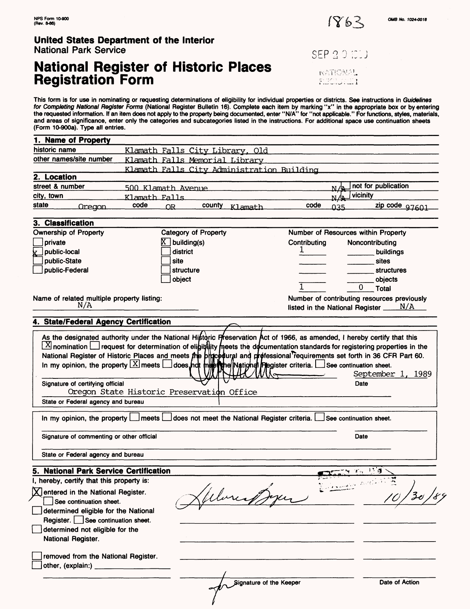

# **National Register of Historic Places Registration Form**

SEP 20 ICD **NATIONAL FILCTORETI** 

This form is for use in nominating or requesting determinations of eligibility for individual properties or districts. See instructions in *Guidelines*<br>*for Completing National Register Forms* (National Register Bulletin 1 the requested information. If an item does not apply to the property being documented, enter "N/A" for "not applicable." For functions, styles, materials, and areas of significance, enter only the categories and subcategories listed in the instructions. For additional space use continuation sheets (Form 10-900a). Type all entries.

| <u>Klamath Falls City Library, Old</u><br>Klamath Falls Memorial Library<br>Klamath Falls City Administration Building<br>not for publication<br><u>N/A</u><br>N/a vicinity<br>code<br>zip code 97601<br>county Klamath<br>عده<br>Number of Resources within Property                                                                                                                                                                                                  |
|------------------------------------------------------------------------------------------------------------------------------------------------------------------------------------------------------------------------------------------------------------------------------------------------------------------------------------------------------------------------------------------------------------------------------------------------------------------------|
|                                                                                                                                                                                                                                                                                                                                                                                                                                                                        |
|                                                                                                                                                                                                                                                                                                                                                                                                                                                                        |
|                                                                                                                                                                                                                                                                                                                                                                                                                                                                        |
|                                                                                                                                                                                                                                                                                                                                                                                                                                                                        |
|                                                                                                                                                                                                                                                                                                                                                                                                                                                                        |
|                                                                                                                                                                                                                                                                                                                                                                                                                                                                        |
|                                                                                                                                                                                                                                                                                                                                                                                                                                                                        |
|                                                                                                                                                                                                                                                                                                                                                                                                                                                                        |
|                                                                                                                                                                                                                                                                                                                                                                                                                                                                        |
|                                                                                                                                                                                                                                                                                                                                                                                                                                                                        |
|                                                                                                                                                                                                                                                                                                                                                                                                                                                                        |
| Contributing<br>Noncontributing<br>T.                                                                                                                                                                                                                                                                                                                                                                                                                                  |
| buildings                                                                                                                                                                                                                                                                                                                                                                                                                                                              |
| sites                                                                                                                                                                                                                                                                                                                                                                                                                                                                  |
| structures                                                                                                                                                                                                                                                                                                                                                                                                                                                             |
| objects                                                                                                                                                                                                                                                                                                                                                                                                                                                                |
| 0.<br>Total                                                                                                                                                                                                                                                                                                                                                                                                                                                            |
| Number of contributing resources previously                                                                                                                                                                                                                                                                                                                                                                                                                            |
| listed in the National Register $\underline{\hspace{1cm} N/A}$                                                                                                                                                                                                                                                                                                                                                                                                         |
|                                                                                                                                                                                                                                                                                                                                                                                                                                                                        |
| $\boxtimes$ nomination $\Box$ request for determination of eligit/(iity meets the documentation standards for registering properties in the<br>National Register of Historic Places and meets the bridgedural and professional requirements set forth in 36 CFR Part 60.<br>In my opinion, the property $\boxed{\times}$ meets $\boxed{\_}$ does indt $\boxed{\uparrow}$ mind $\boxed{\uparrow}$ mation $\Box$ and $\Box$ see continuation sheet.<br>September 1, 1989 |
| Date                                                                                                                                                                                                                                                                                                                                                                                                                                                                   |
| In my opinion, the property $\Box$ meets $\Box$ does not meet the National Register criteria.<br>See continuation sheet.                                                                                                                                                                                                                                                                                                                                               |
| Date                                                                                                                                                                                                                                                                                                                                                                                                                                                                   |
|                                                                                                                                                                                                                                                                                                                                                                                                                                                                        |
| <b>CERTIFY</b> To 118                                                                                                                                                                                                                                                                                                                                                                                                                                                  |
|                                                                                                                                                                                                                                                                                                                                                                                                                                                                        |
|                                                                                                                                                                                                                                                                                                                                                                                                                                                                        |
|                                                                                                                                                                                                                                                                                                                                                                                                                                                                        |
| Signature of the Keeper<br>Date of Action                                                                                                                                                                                                                                                                                                                                                                                                                              |
| Oregon State Historic Preservation Office                                                                                                                                                                                                                                                                                                                                                                                                                              |

/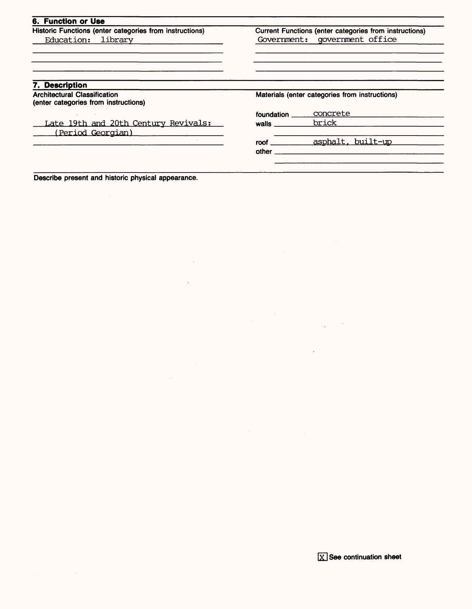|                                                | Current Functions (enter categories from instructions) |
|------------------------------------------------|--------------------------------------------------------|
| Government: government office                  |                                                        |
|                                                |                                                        |
|                                                |                                                        |
| Materials (enter categories from instructions) |                                                        |
| foundation                                     | concrete                                               |
| walls                                          | brick                                                  |
|                                                |                                                        |
|                                                |                                                        |
| roof $\_$                                      | asphalt, built-up                                      |
|                                                |                                                        |

 $\mathcal{O}(\mathcal{O}_\mathcal{O})$ 

**Describe present and historic physical appearance.**

**continuation sheet**

 $\Delta \sim 10^{11}$ 

 $\bar{\omega}$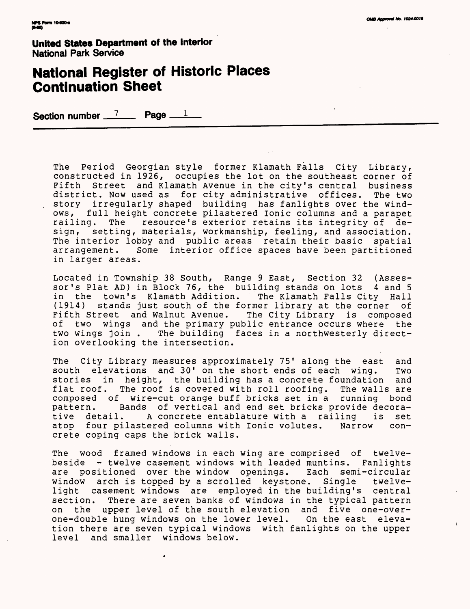# **National Register of Historic Places Continuation Sheet**

Section number  $\frac{7}{2}$  Page  $\frac{1}{2}$ 

The Period Georgian style former Klamath Falls City Library, constructed in 1926, occupies the lot on the southeast corner of Fifth Street and Klamath Avenue in the city's central business district. Now used as for city administrative offices. The two story irregularly shaped building has fanlights over the windows, full height concrete pilastered Ionic columns and a parapet<br>railing. The resource's exterior retains its integrity of derailing. The resource's exterior retains its integrity of design, setting, materials, workmanship, feeling, and association. The interior lobby and public areas retain their basic spatial arrangement. Some interior office spaces have been partitioned in larger areas.

Located in Township 38 South, Range 9 East, Section 32 (Assessor's Plat AD) in Block 76, the building stands on lots 4 and 5 in the town's Klamath Addition. The Klamath Falls City Hall (1914) stands just south of the former library at the corner of Fifth Street and Walnut Avenue. The City Library is composed of two wings and the primary public entrance occurs where the two wings join . The building faces in a northwesterly direction overlooking the intersection.

The City Library measures approximately 75' along the east and south elevations and 30' on the short ends of each wing. Two stories in height, the building has a concrete foundation and flat roof. The roof is covered with roll roofing. The walls are composed of wire-cut orange buff bricks set in a running bond pattern. Bands of vertical and end set bricks provide decora-<br>tive detail. A concrete entablature with a railing is set tive detail. A concrete entablature with a railing is set<br>atop four pilastered columns with Ionic volutes. Narrow conatop four pilastered columns with Ionic volutes. Narrow crete coping caps the brick walls.

The wood framed windows in each wing are comprised of twelvebeside - twelve casement windows with leaded muntins. Fanlights are positioned over the window openings. Each semi-circular window arch is topped by a scrolled keystone. Single twelvelight casement windows are employed in the building's central<br>section. There are seven banks of windows in the typical pattern There are seven banks of windows in the typical pattern on the upper level of the south elevation and five one-overone-double hung windows on the lower level. On the east elevation there are seven typical windows with fanlights on the upper level and smaller windows below.

,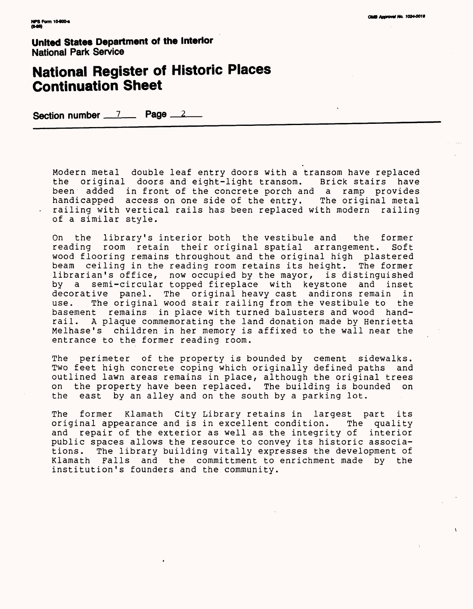# **National Register of Historic Places Continuation Sheet**

Section number 7 Page 2

Modern metal double leaf entry doors with a transom have replaced the original doors and eight-light transom. Brick stairs have been added in front of the concrete porch and a ramp provides handicapped access on one side of the entry. The original metal railing with vertical rails has been replaced with modern railing of a similar style.

On the library's interior both the vestibule and the former reading room retain their original spatial arrangement. Soft wood flooring remains throughout and the original high plastered beam ceiling in the reading room retains its height. The former librarian's office, now occupied by the mayor, is distinguished<br>by a semi-circular topped fireplace with keystone and inset a semi-circular topped fireplace with keystone and inset decorative panel. The original heavy cast andirons remain in<br>use. The original wood stair railing from the vestibule to the The original wood stair railing from the vestibule to the basement remains in place with turned balusters and wood handrail. A plaque commemorating the land donation made by Henrietta Melhase's children in her memory is affixed to the wall near the entrance to the former reading room.

The perimeter of the property is bounded by cement sidewalks. Two feet high concrete coping which originally defined paths and outlined lawn areas remains in place, although the original trees on the property have been replaced. The building is bounded on the east by an alley and on the south by a parking lot.

The former Klamath City Library retains in largest part its original appearance and is in excellent condition. The quality and repair of the exterior as well as the integrity of interior public spaces allows the resource to convey its historic associations. The library building vitally expresses the development of<br>Klamath Falls and the committment to enrichment made by the and the committment to enrichment made by the institution's founders and the community.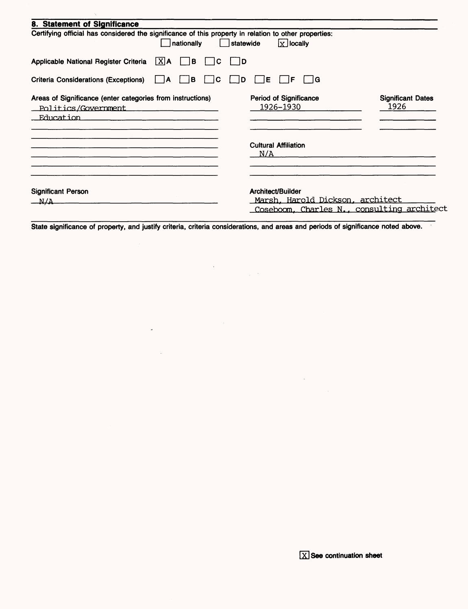| 8. Statement of Significance                                                                                        |                                                                                                             |                                  |
|---------------------------------------------------------------------------------------------------------------------|-------------------------------------------------------------------------------------------------------------|----------------------------------|
| Certifying official has considered the significance of this property in relation to other properties:<br>nationally | $x$ locally<br>statewide                                                                                    |                                  |
| Applicable National Register Criteria<br>$ X $ A<br>$\vert$ $\vert$ B<br>١C                                         | I ID                                                                                                        |                                  |
| <b>Criteria Considerations (Exceptions)</b><br>l B<br>C<br>1A                                                       | ÍE<br>i iG<br>I D<br>F                                                                                      |                                  |
| Areas of Significance (enter categories from instructions)<br>Politics/Government<br><b>Education</b>               | Period of Significance<br>1926–1930                                                                         | <b>Significant Dates</b><br>1926 |
|                                                                                                                     | <b>Cultural Affiliation</b><br>N/A                                                                          |                                  |
| <b>Significant Person</b><br>$N/\Delta$                                                                             | Architect/Builder<br><u> Marsh, Harold Dickson, architect</u><br>Coseboom, Charles N., consulting architect |                                  |

 $\gamma_{\rm g}$ 

State significance of property, and justify criteria, criteria considerations, and areas and periods of significance noted above.

 $\bar{\lambda}$ 

 $\sim$   $\sim$ 

 $\overline{\phantom{a}}$ 

 $\sim$ 

 $\label{eq:2} \frac{1}{\sqrt{2\pi}}\frac{1}{\sqrt{2\pi}}\frac{1}{\sqrt{2\pi}}\frac{1}{\sqrt{2\pi}}\frac{1}{\sqrt{2\pi}}\frac{1}{\sqrt{2\pi}}\frac{1}{\sqrt{2\pi}}\frac{1}{\sqrt{2\pi}}\frac{1}{\sqrt{2\pi}}\frac{1}{\sqrt{2\pi}}\frac{1}{\sqrt{2\pi}}\frac{1}{\sqrt{2\pi}}\frac{1}{\sqrt{2\pi}}\frac{1}{\sqrt{2\pi}}\frac{1}{\sqrt{2\pi}}\frac{1}{\sqrt{2\pi}}\frac{1}{\sqrt{2\pi}}\frac{1}{\sqrt{2$ 

 $\sim 10^{11}$  km s  $^{-1}$ 

 $\mathcal{A}^{\mathcal{A}}$ 

 $\sim$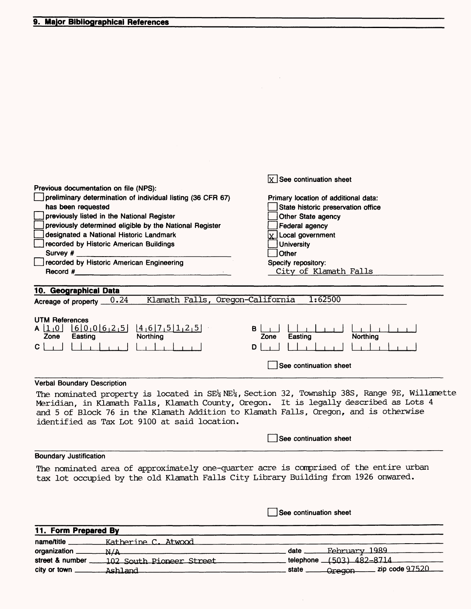| Previous documentation on file (NPS):<br>preliminary determination of individual listing (36 CFR 67)<br>has been requested<br>previously listed in the National Register<br>previously determined eligible by the National Register<br>designated a National Historic Landmark<br>recorded by Historic American Buildings<br>Survey #<br>recorded by Historic American Engineering<br>Record # | $\overline{X}$ See continuation sheet<br>Primary location of additional data:<br>State historic preservation office<br>Other State agency<br>Federal agency<br>$x$ Local government<br><b>University</b><br>Other<br>Specify repository:<br>City of Klamath Falls |
|------------------------------------------------------------------------------------------------------------------------------------------------------------------------------------------------------------------------------------------------------------------------------------------------------------------------------------------------------------------------------------------------|-------------------------------------------------------------------------------------------------------------------------------------------------------------------------------------------------------------------------------------------------------------------|
| 10. Geographical Data                                                                                                                                                                                                                                                                                                                                                                          |                                                                                                                                                                                                                                                                   |
| Klamath Falls, Oregon-California<br>0.24<br>Acreage of property _                                                                                                                                                                                                                                                                                                                              | 1:62500                                                                                                                                                                                                                                                           |
| <b>UTM References</b><br>$4,6$ 7 5 1 2 5<br>6000625<br>A 11 10 1<br>Northing<br>Zone<br>Easting<br>C                                                                                                                                                                                                                                                                                           | в<br>Northing<br>Zone<br>Easting<br>D<br>See continuation sheet                                                                                                                                                                                                   |
| <b>Verbal Boundary Description</b>                                                                                                                                                                                                                                                                                                                                                             |                                                                                                                                                                                                                                                                   |
| Meridian, in Klamath Falls, Klamath County, Oregon. It is legally described as Lots 4<br>and 5 of Block 76 in the Klamath Addition to Klamath Falls, Oregon, and is otherwise<br>identified as Tax Lot 9100 at said location.                                                                                                                                                                  | The nominated property is located in SE <sup>1</sup> <sub>4</sub> NE <sup>1</sup> 4, Section 32, Township 38S, Range 9E, Willamette                                                                                                                               |
|                                                                                                                                                                                                                                                                                                                                                                                                | See continuation sheet                                                                                                                                                                                                                                            |
| <b>Boundary Justification</b>                                                                                                                                                                                                                                                                                                                                                                  |                                                                                                                                                                                                                                                                   |
| The nominated area of approximately one-quarter acre is comprised of the entire urban<br>tax lot occupied by the old Klamath Falls City Library Building from 1926 onwared.                                                                                                                                                                                                                    |                                                                                                                                                                                                                                                                   |
|                                                                                                                                                                                                                                                                                                                                                                                                | See continuation sheet                                                                                                                                                                                                                                            |

 $\label{eq:2.1} \mathcal{L}(\mathcal{L}^{\mathcal{L}}_{\mathcal{L}}(\mathcal{L}^{\mathcal{L}}_{\mathcal{L}})) = \mathcal{L}(\mathcal{L}^{\mathcal{L}}_{\mathcal{L}}(\mathcal{L}^{\mathcal{L}}_{\mathcal{L}})) = \mathcal{L}(\mathcal{L}^{\mathcal{L}}_{\mathcal{L}}(\mathcal{L}^{\mathcal{L}}_{\mathcal{L}}))$ 

| 11. Form Prepared By |                          |       |                          |  |
|----------------------|--------------------------|-------|--------------------------|--|
| name/title           | Katherine C. Atwood      |       |                          |  |
| organization         | N/A                      | date  | <u>February 1989</u>     |  |
| street & number      | 102 South Pioneer Street |       | telephone (503) 482-8714 |  |
| city or town         | Ashland                  | state | -Oregon - zip code 97520 |  |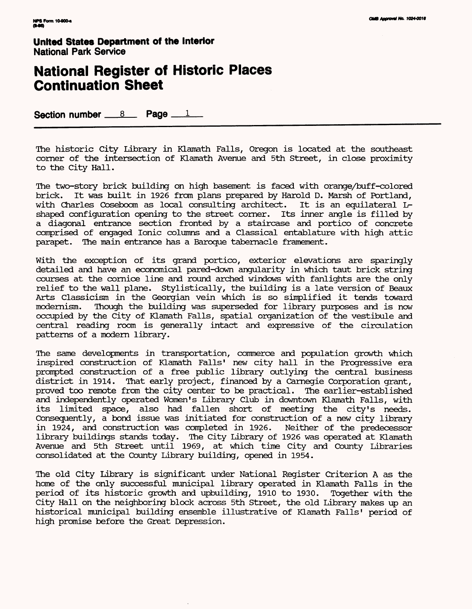## **National Register of Historic Places Continuation Sheet**

Section number 8 Page 1

The historic City Library in KLamath Falls, Oregon is located at the southeast corner of the intersection of KLamath Avenue and 5th Street, in close proximity to the City Hall.

The two-story brick building on high basement is faced with orange/buff-colored brick. It was built in 1926 from plans prepared by Harold D. Marsh of Portland, with Charles Coseboom as local consulting architect. It is an equilateral Lshaped configuration opening to the street corner. Its inner angle is filled by a diagonal entrance section fronted by a staircase and portico of concrete comprised of engaged Ionic columns and a Classical entablature with high attic parapet. The main entrance has a Baroque tabernacle framement.

With the exception of its grand portico, exterior elevations are sparingly detailed and have an economical pared-down angularity in which taut brick string courses at the cornice line and round arched windows with fanlights are the only relief to the wall plane. Stylistically, the building is a late version of Beaux Arts Classicism in the Georgian vein which is so simplified it tends toward modernism. Though the building was superseded for library purposes and is now occupied by the City of KLamath Falls, spatial organization of the vestibule and central reading room is generally intact and expressive of the circulation patterns of a modern library.

The same developments in transportation, commerce and population growth which inspired construction of KLamath Falls' new city hall in the Progressive era prompted construction of a free public library outlying the central business district in 1914. That early project, financed by a Carnegie Corporation grant, proved too remote from the city center to be practical. The earlier-established and independently operated Women's Library Club in downtown Klamath Falls, with its limited space, also had fallen short of meeting the city's needs. Consequently, a bond issue was initiated for construction of a new city library in 1924, and construction was completed in 1926. Neither of the predecessor library buildings stands today. The City Library of 1926 was operated at KLamath Avenue and 5th Street until 1969, at which time City and County Libraries consolidated at the County Library building, opened in 1954.

The old City Library is significant under National Register Criterion A as the home of the only successful municipal library operated in KLamath Falls in the period of its historic growth and upbuilding, 1910 to 1930. Together with the City Hall on the neighboring block across 5th Street, the old Library makes up an historical municipal building ensemble illustrative of KLamath Falls' period of high promise before the Great Depression.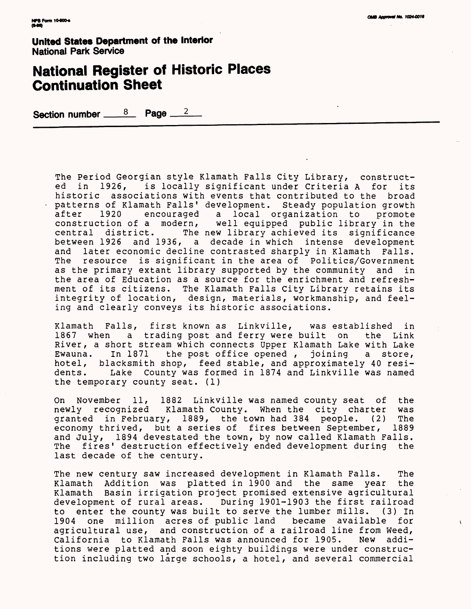# **National Register of Historic Places Continuation Sheet**

Section number <u>3</u> Page 2

The Period Georgian style Klamath Falls City Library, constructed in 1926, is locally significant under Criteria A for its historic associations with events that contributed to the broad patterns of Klamath Falls' development. Steady population growth encouraged a local organization to promote construction of a modern, well equipped public library in the central district. The new library achieved its significance between 1926 and 1936, a decade in which intense development and later economic decline contrasted sharply in Klamath Falls. The resource is significant in the area of Politics/Government as the primary extant library supported by the community and in the area of Education as a source for the enrichment and refreshment of its citizens. The Klamath Falls City Library retains its integrity of location, design, materials, workmanship, and feeling and clearly conveys its historic associations.

Klamath Falls, first known as Linkville, was established in 1867 when a trading post and ferry were built on the Link River, a short stream which connects Upper Klamath Lake with Lake<br>Ewauna. In 1871 the post office opened, joining a store, Ewauna. In 1871 the post office opened, hotel, blacksmith shop, feed stable, and approximately 40 residents. Lake County was formed in 1874 and Linkville was named the temporary county seat. (1)

On November 11, 1882 Linkville was named county seat of the newly recognized Klamath County. When the city charter was granted in February, 1889, the town had 384 people. (2) The economy thrived, but a series of fires between September, 1889 and July, 1894 devestated the town, by now called Klamath Falls. The fires' destruction effectively ended development during the last decade of the century.

The new century saw increased development in Klamath Falls. The Klamath Addition was platted in 1900 and the same year the Klamath Basin irrigation project promised extensive agricultural development of rural areas. During 1901-1903 the first railroad to enter the county was built to serve the lumber mills. (3) In 1904 one million acres of public land became available for agricultural use, and construction of a railroad line from Weed, California to Klamath Falls was announced for 1905. New additions were platted and soon eighty buildings were under construction including two large schools, a hotel, and several commercial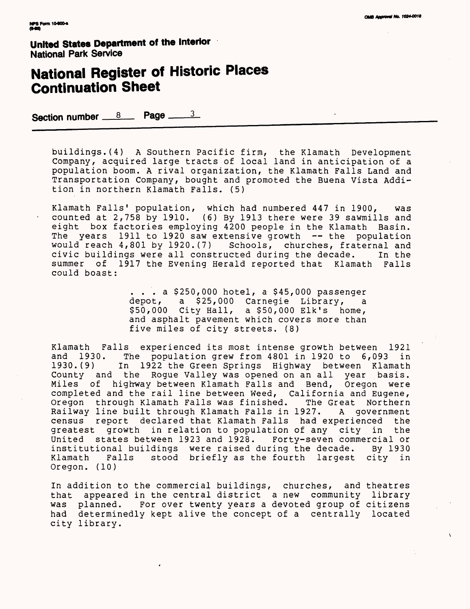# **National Register of Historic Places Continuation Sheet**

Section number 8 **Page** 3

buildings.(4) A Southern Pacific firm, the Klamath Development Company, acquired large tracts of local land in anticipation of a population boom. A rival organization, the Klamath Falls Land and Transportation Company, bought and promoted the Buena Vista Addition in northern Klamath Falls. (5)

Klamath Falls' population, which had numbered 447 in 1900, was counted at 2,758 by 1910. (6) By 1913 there were 39 sawmills and eight box factories employing 4200 people in the Klamath Basin. The years 1911 to 1920 saw extensive growth -- the population would reach 4,801 by 1920.(7) Schools, churches, fraternal and civic buildings were all constructed during the decade. In the summer of 1917 the Evening Herald reported that Klamath Falls could boast:

> ... a \$250,000 hotel, a \$45,000 passenger depot, a \$25,000 Carnegie Library, \$50,000 City Hall, a \$50,000 Elk's home, and asphalt pavement which covers more than five miles of city streets. (8)

Klamath Falls experienced its most intense growth between 1921<br>and 1930. The population grew from 4801 in 1920 to 6,093 in and 1930. The population grew from 4801 in 1920 to 6,093 in In 1922 the Green Springs Highway between Klamath County and the Rogue Valley was opened on an all year basis. Miles of high-way between Klamath Falls and Bend, Oregon were completed and the rail line between Weed, California and Eugene,<br>Oregon through Klamath Falls was finished. The Great Northern Oregon through Klamath Falls was finished. Railway line built through Klamath Falls in 1927. A government census report declared that Klamath Falls had experienced the greatest growth in relation to population of any city in the United states between 1923 and 1928. Forty-seven commercial or institutional buildings were raised during the decade. By 1930 Klamath Falls stood briefly as the fourth largest city in Oregon. (10)

In addition to the commercial buildings, churches, and theatres that appeared in the central district a new community library was planned. For over twenty years a devoted group of citizens had determinedly kept alive the concept of a centrally located city library.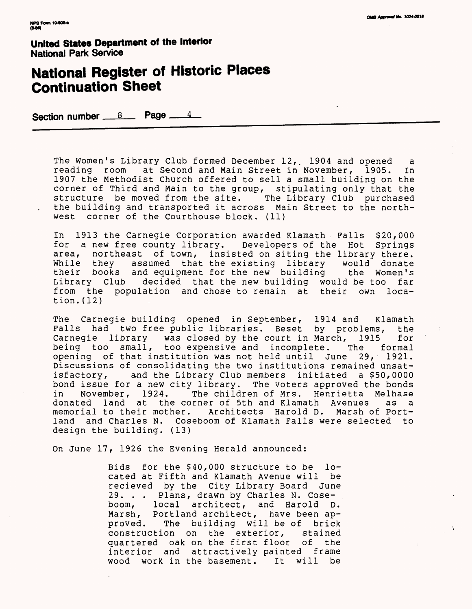# **National Register of Historic Places Continuation Sheet**

Section number <u>8</u> Page 4

The Women's Library Club formed December 12,. 1904 and opened a reading room at Second and Main Street in November, 1905. In 1907 the Methodist Church offered to sell a small building on the corner of Third and Main to the group, stipulating only that the structure be moved from the site. The Library Club purchased the building and transported it across Main Street to the northwest corner of the Courthouse block. (11)

In 1913 the Carnegie Corporation awarded Klamath Falls \$20,000<br>for a new free county library. Developers of the Hot Springs for a new free county library. Developers of the Hot<br>area, northeast of town, insisted on siting the library northeast of town, insisted on siting the library there. While they assumed that the existing library would donate their books and equipment for the new building the Women's Library Club decided that the new building would be too far from the population and chose to remain at their own location.(12)

The Carnegie building opened in September, 1914 and Klamath Falls had two free public libraries. Beset by problems, the Carnegie library was closed by the court in March, 1915 for Carnegie library was closed by the court in March, 1915 being too small, too expensive and incomplete. The formal opening of that institution was not held until June 29, 1921. Discussions of consolidating the two institutions remained unsatisfactory, and the Library Club members initiated a \$50,0000 bond issue for a new city library. The voters approved the bonds<br>in Wovember, 1924. The children of Mrs. Henrietta Melhase in November, 1924. The children of Mrs. Henrietta Melhase donated land at the corner of 5th and Klamath Avenues as a memorial to their mother. Architects Harold D. Marsh of Portland and Charles N. Coseboom of Klamath Falls were selected to design the building. (13)

On June 17, 1926 the Evening Herald announced:

Bids for the \$40,000 structure to be located at Fifth and Klamath Avenue will be recieved by the City Library Board June 29. . . Plans, drawn by Charles N. Coseboom, local architect, and Harold D. Marsh, Portland architect, have been approved. The building will be of brick construction on the exterior, stained quartered oak on the first floor of the interior and attractively painted frame wood work in the basement. It will be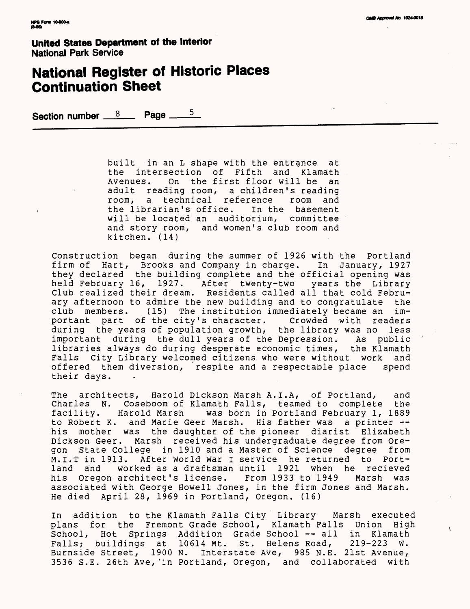# **National Register of Historic Places Continuation Sheet**

Section number <u>8</u> Page  $5$ 

built in an L shape with the entrance at the intersection of Fifth and Klamath On the first floor will be an adult reading room, a children's reading<br>room, a technical reference room and room, a technical reference the librarian's office. In the basement will be located an auditorium, committee and story room, and women's club room and kitchen. (14)

Construction began during the summer of 1926 with the Portland firm of Hart, Brooks and Company in charge. In January, 1927 they declared the building complete and the official opening was held February 16, 1927. After twenty-two years the Library Club realized their dream. Residents called all that cold Febru-< ary afternoon to admire the new building and to congratulate the club members. (15) The institution immediately became an important part of the city's character. Crowded with readers during the years of population growth, the library was no less important during the dull years of the Depression. As public libraries always do during desperate economic times, the Klamath Falls City Library welcomed citizens who were without work and offered them diversion, respite and a respectable place spend their days.

The architects, Harold Dickson Marsh A.I.A, of Portland, and Charles N. Coseboom of Klamath Falls, teamed to complete the facility. Harold Marsh was born in Portland February 1, 1889 to Robert K. and Marie Geer Marsh. His father was a printer -his mother was the daughter of the pioneer diarist Elizabeth Dickson Geer. Marsh received his undergraduate degree from Oregon State College in 1910 and a Master of Science degree from M.I.T in 1913. After World War I service he returned to Portland and worked as a draftsman until 1921 when he recieved his Oregon architect's license. From 1933 to 1949 Marsh was associated with George Howell Jones, in the firm Jones and Marsh. He died April 28, 1969 in Portland, Oregon. (16)

In addition to the Klamath Falls City Library Marsh executed plans for the Fremont Grade School, Klamath Falls Union High School, Hot Springs Addition Grade School -- all in Klamath<br>Falls: buildings at 10614 Mt. St. Helens Road, 219-223 W. Falls; buildings at 10614 Mt. St. Helens Road, Burnside Street, 1900 N. Interstate Ave, 985 N.E. 21st Avenue, 3536 S.E. 26th Ave,'in Portland, Oregon, and collaborated with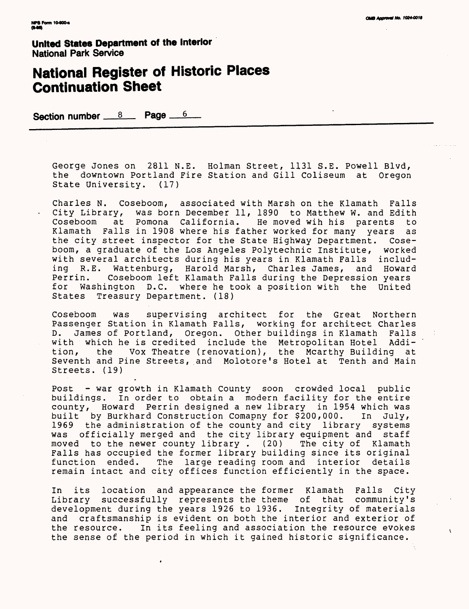$\mathbf{r}$ 

**United States Department of the Interior** National Park Service

# **National Register of Historic Places Continuation Sheet**

Section number <u>8</u> Page 6

George Jones on 2811 N.E. Holman Street, 1131 S.E. Powell Blvd, the downtown Portland Fire Station and Gill Coliseum at Oregon State University. (17)

Charles N. Coseboom, associated with Marsh on the Klamath Falls City Library, was born December 11, 1890 to Matthew w. and Edith Coseboom at Pomona California. He moved wih his parents to Klamath Falls in 1908 where his father worked for many years as the city street inspector for the State Highway Department. Coseboom, a graduate of the Los Angeles Polytechnic Institute, worked with several architects during his years in Klamath Falls including R.E. Wattenburg, Harold Marsh, Charles James, and Howard<br>Perrin. Coseboom left Klamath Falls during the Depression years Perrin. Coseboom left Klamath Falls during the Depression years Washington D.C. where he took a position with the United States Treasury Department. (18)

Coseboom was supervising architect for the Great Northern Passenger Station in Klamath Falls, working for architect Charles D. James of Portland, Oregon. Other buildings in Klamath Falls with which he is credited include the Metropolitan Hotel<br>tion, the Vox Theatre (renovation), the Mcarthy Buildi the Vox Theatre (renovation), the Mcarthy Building at Seventh and Pine Streets, and Molotore's Hotel at Tenth and Main Streets. (19)

Post - war growth in Klamath County soon crowded local public buildings. In order to obtain a modern facility for the entire county, Howard Perrin designed a new library in 1954 which was<br>built by Burkhard Construction Comapny for \$200,000. In July, built by Burkhard Construction Comapny for \$200,000. 1969 the administration of the county and city library systems was officially merged and the city library equipment and staff<br>moved to the newer county library. (20) The city of Klamath moved to the newer county library .  $(20)$ Falls has occupied the former library building since its original function ended. The large reading room and interior details remain intact and city offices function efficiently in the space.

In its location and appearance the former Klamath Falls City Library successfully represents the theme of that community's development during the years 1926 to 1936. Integrity of materials and craftsmanship is evident on both the interior and exterior of the resource. In its feeling and association the resource evokes the sense of the period in which it gained historic significance.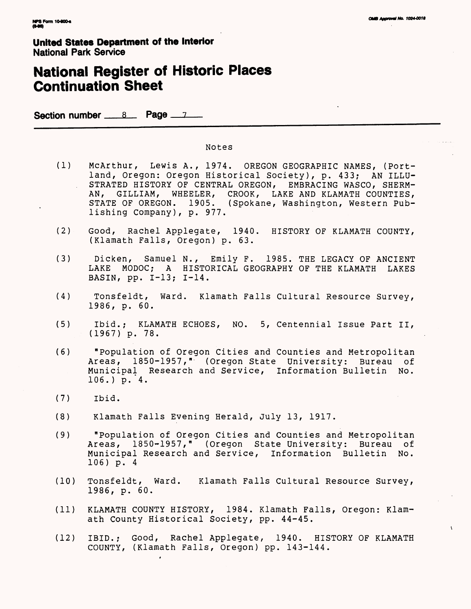$\mathbf{A}$ 

**United States Department of the Interior** National Park Service

# **National Register of Historic Places Continuation Sheet**

Section number 8 Page 7

#### Notes

- (1) McArthur, Lewis A., 1974. OREGON GEOGRAPHIC NAMES, (Portland, Oregon: Oregon Historical Society), p. 433; AN ILLU- . STRATED HISTORY OF CENTRAL OREGON, EMBRACING WASCO, SHERM-AN, GILLIAM, WHEELER, CROOK, LAKE AND KLAMATH COUNTIES, STATE OF OREGON. 1905. (Spokane, Washington, Western Publishing Company), p. 977.
- (2) Good, Rachel Applegate, 1940. HISTORY OF KLAMATH COUNTY, (Klamath Falls, Oregon) p. 63.
- (3) Dicken, Samuel N., Emily F. 1985. THE LEGACY OF ANCIENT LAKE MODOC; A HISTORICAL GEOGRAPHY OF THE KLAMATH LAKES BASIN, pp. 1-13; 1-14.
- (4) Tonsfeldt, Ward. Klamath Falls Cultural Resource Survey, 1986, p. 60.
- (5) Ibid.; KLAMATH ECHOES, NO. 5, Centennial Issue Part II, (1967) p. 78.
- (6) "Population of Oregon Cities and Counties and Metropolitan Areas, 1850-1957," (Oregon State University: Bureau of Municipal Research and Service, Information Bulletin No.  $106.$ ) p. 4.
- (7) Ibid.
- (8) Klamath Falls Evening Herald, July 13, 1917.
- (9) "Population of Oregon Cities and Counties and Metropolitan Areas, 1850-1957," (Oregon State University: Bureau of Municipal Research and Service, Information Bulletin No. 106) p. 4
- (10) Tonsfeldt, Ward. Klamath Falls Cultural Resource Survey, 1986, p. 60.
- (11) KLAMATH COUNTY HISTORY, 1984. Klamath Falls, Oregon: Klamath County Historical Society, pp. 44-45.
- (12) IBID.; Good, Rachel Applegate, 1940. HISTORY OF KLAMATH COUNTY, (Klamath Falls, Oregon) pp. 143-144.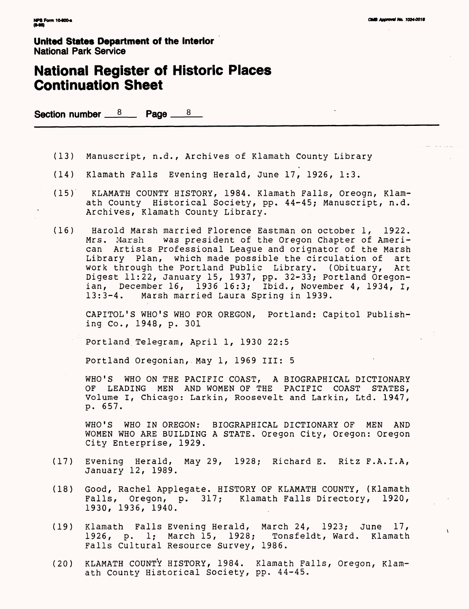### **National Register of Historic Places Continuation Sheet**

Section number  $8$  Page  $8$ 

- (13) Manuscript, n.d., Archives of Klamath County Library
- (14) Klamath Falls Evening Herald, June 17, 1926, 1:3.
- (15) KLAMATH COUNTY HISTORY, 1984. Klamath Falls, Oreogn, Klamath County Historical Society, pp. 44-45; Manuscript, n.d. Archives, Klamath County Library.
- (16) Harold Marsh married Florence Eastman on October 1, 1922. was president of the Oregon Chapter of American Artists Professional League and orignator of the Marsh Library Plan, which made possible the circulation of art work through the Portland Public Library. (Obituary, Art Digest 11:22, January 15, 1937, pp. 32-33; Portland Oregonian, December 16,  $\overline{1}936$  16:3; Ibid., November 4, 1934, I, 13:3-4. Marsh married Laura Spring in 1939. Marsh married Laura Spring in 1939.

CAPITOL'S WHO'S WHO FOR OREGON, Portland: Capitol Publishing Co., 1948, p. 301

Portland Telegram, April 1, 1930 22:5

Portland Oregonian,. May 1, 1969 III: 5

WHO'S WHO ON THE PACIFIC COAST, A BIOGRAPHICAL DICTIONARY OF LEADING MEN AND WOMEN OF THE PACIFIC COAST STATES, Volume I, Chicago: Larkin, Roosevelt and Larkin, Ltd. 1947, p. 657.

WHO'S WHO IN OREGON: BIOGRAPHICAL DICTIONARY OF MEN AND WOMEN WHO ARE BUILDING A STATE. Oregon City, Oregon: Oregon City Enterprise, 1929.

- (17) Evening Herald, May 29, 1928; Richard E. Ritz F.A.I.A, January 12, 1989.
- (18) Good, Rachel Applegate. HISTORY OF KLAMATH COUNTY, (Klamath Falls, Oregon, p. 317; Klamath Falls Directory, 1920, 1930, 1936, 1940.
- (19) Klamath Falls Evening Herald, March 24, 1923; June 17, 1926, p. 1; March 15, 1928; Tonsfeldt, Ward. Klamath Falls Cultural Resource Survey, 1986.
- (20) KLAMATH COUNTY HISTORY, 1984. Klamath Falls, Oregon, Klamath County Historical Society, pp. 44-45.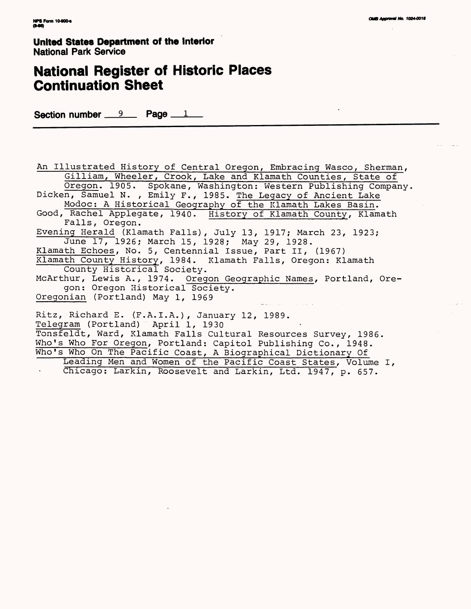### **National Register of Historic Places Continuation Sheet**

Section number  $9$  Page  $1$ 

An Illustrated History of Central Oregon, Embracing Wasco, Sherman, Gilliam, Wheeler , Crook, Lake and Klamath Counties, State of Oregon. 1905. Spokane, Washington: Western Publishing Company Dicken, Samuel N. , Emily F., 1985. The Legacy of Ancient Lake Modoc; A Historical Geography of the Klamath Lakes Basin. Good, Rachel Applegate, 1940. History of Klamath County, Klamath Falls, Oregon. Evening Herald (Klamath Falls), July 13, 1917; March 23, 1923; June 17, 1926; March 15, 1928; May 29, 1928. Klamath Echoes, No. 5, Centennial Issue, Part II, (1967) Klamath County History, 1984. Klamath Falls, Oregon: Klamath County Historical Society. McArthur, Lewis A., 1974. Oregon Geographic Names, Portland, Oregon: Oregon Historical Society. Qregonian (Portland) May 1, 1969 Ritz, Richard E. (F.A.I.A.), January 12, 1989. Telegram (Portland) April 1, 1930 Tonsfeldt, Ward, Klamath Falls Cultural Resources Survey, 1986. Who's Who For Oregon, Portland: Capitol Publishing Co., 1948. Who's Who On The Pacific Coast, A Biographical Dictionary Of Leading Men and Women of the Pacific Coast States, Volume I, Chicago: Larkin, Roosevelt and Larkin, Ltd.1947, p. 657.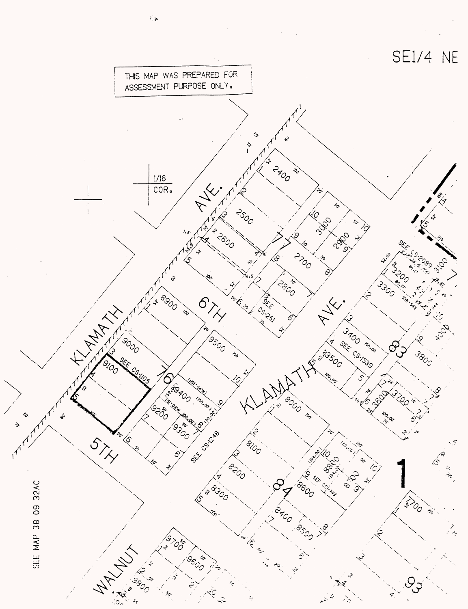